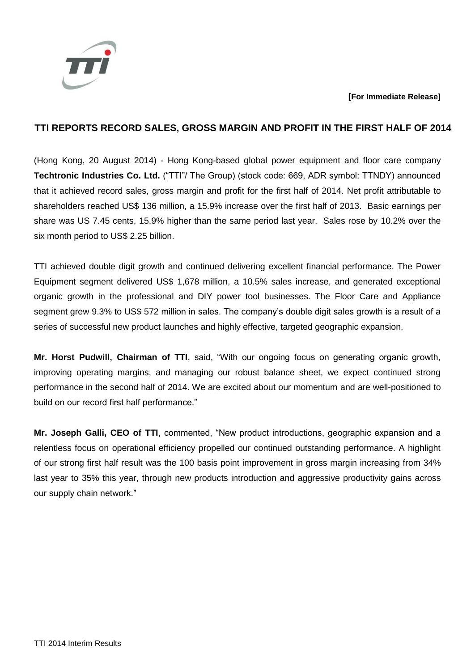

## **[For Immediate Release]**

# **TTI REPORTS RECORD SALES, GROSS MARGIN AND PROFIT IN THE FIRST HALF OF 2014**

(Hong Kong, 20 August 2014) - Hong Kong-based global power equipment and floor care company **Techtronic Industries Co. Ltd.** ("TTI"/ The Group) (stock code: 669, ADR symbol: TTNDY) announced that it achieved record sales, gross margin and profit for the first half of 2014. Net profit attributable to shareholders reached US\$ 136 million, a 15.9% increase over the first half of 2013. Basic earnings per share was US 7.45 cents, 15.9% higher than the same period last year. Sales rose by 10.2% over the six month period to US\$ 2.25 billion.

TTI achieved double digit growth and continued delivering excellent financial performance. The Power Equipment segment delivered US\$ 1,678 million, a 10.5% sales increase, and generated exceptional organic growth in the professional and DIY power tool businesses. The Floor Care and Appliance segment grew 9.3% to US\$ 572 million in sales. The company's double digit sales growth is a result of a series of successful new product launches and highly effective, targeted geographic expansion.

**Mr. Horst Pudwill, Chairman of TTI**, said, "With our ongoing focus on generating organic growth, improving operating margins, and managing our robust balance sheet, we expect continued strong performance in the second half of 2014. We are excited about our momentum and are well-positioned to build on our record first half performance."

**Mr. Joseph Galli, CEO of TTI**, commented, "New product introductions, geographic expansion and a relentless focus on operational efficiency propelled our continued outstanding performance. A highlight of our strong first half result was the 100 basis point improvement in gross margin increasing from 34% last year to 35% this year, through new products introduction and aggressive productivity gains across our supply chain network."